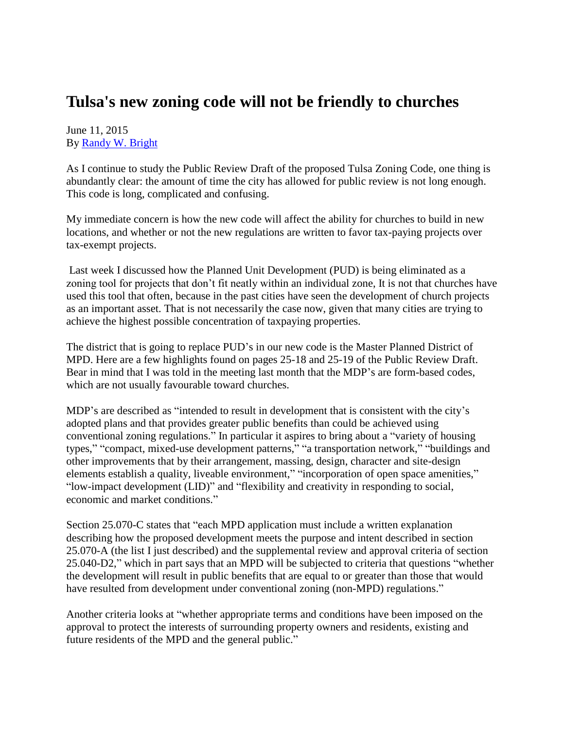## **Tulsa's new zoning code will not be friendly to churches**

June 11, 2015 By [Randy W. Bright](http://www.tulsabeacon.com/author/slug-o6yd1v)

As I continue to study the Public Review Draft of the proposed Tulsa Zoning Code, one thing is abundantly clear: the amount of time the city has allowed for public review is not long enough. This code is long, complicated and confusing.

My immediate concern is how the new code will affect the ability for churches to build in new locations, and whether or not the new regulations are written to favor tax-paying projects over tax-exempt projects.

Last week I discussed how the Planned Unit Development (PUD) is being eliminated as a zoning tool for projects that don't fit neatly within an individual zone, It is not that churches have used this tool that often, because in the past cities have seen the development of church projects as an important asset. That is not necessarily the case now, given that many cities are trying to achieve the highest possible concentration of taxpaying properties.

The district that is going to replace PUD's in our new code is the Master Planned District of MPD. Here are a few highlights found on pages 25-18 and 25-19 of the Public Review Draft. Bear in mind that I was told in the meeting last month that the MDP's are form-based codes, which are not usually favourable toward churches.

MDP's are described as "intended to result in development that is consistent with the city's adopted plans and that provides greater public benefits than could be achieved using conventional zoning regulations." In particular it aspires to bring about a "variety of housing types," "compact, mixed-use development patterns," "a transportation network," "buildings and other improvements that by their arrangement, massing, design, character and site-design elements establish a quality, liveable environment," "incorporation of open space amenities," "low-impact development (LID)" and "flexibility and creativity in responding to social, economic and market conditions."

Section 25.070-C states that "each MPD application must include a written explanation describing how the proposed development meets the purpose and intent described in section 25.070-A (the list I just described) and the supplemental review and approval criteria of section 25.040-D2," which in part says that an MPD will be subjected to criteria that questions "whether the development will result in public benefits that are equal to or greater than those that would have resulted from development under conventional zoning (non-MPD) regulations."

Another criteria looks at "whether appropriate terms and conditions have been imposed on the approval to protect the interests of surrounding property owners and residents, existing and future residents of the MPD and the general public."